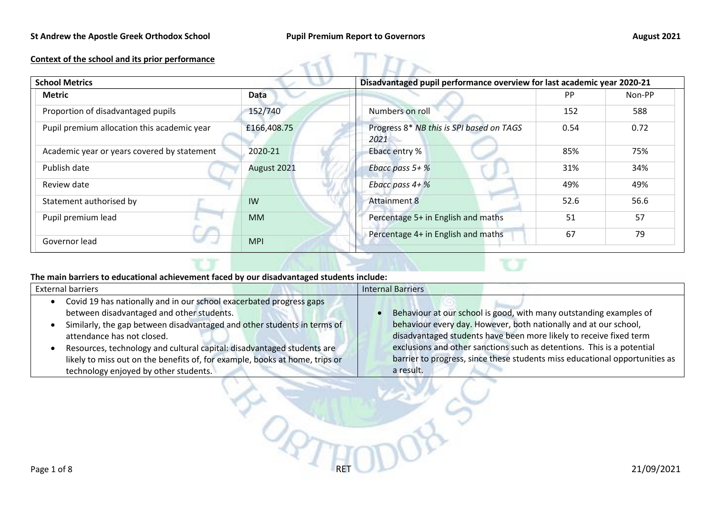## **St Andrew the Apostle Greek Orthodox School Pupil Premium Report to Governors August 2021**

## **Context of the school and its prior performance**

| <b>School Metrics</b>                       |             | Disadvantaged pupil performance overview for last academic year 2020-21 |           |        |
|---------------------------------------------|-------------|-------------------------------------------------------------------------|-----------|--------|
| <b>Metric</b><br><b>Data</b>                |             |                                                                         | <b>PP</b> | Non-PP |
| Proportion of disadvantaged pupils          | 152/740     | Numbers on roll                                                         | 152       | 588    |
| Pupil premium allocation this academic year | £166,408.75 | Progress 8* NB this is SPI based on TAGS<br>2021                        | 0.54      | 0.72   |
| Academic year or years covered by statement | 2020-21     | Ebacc entry %                                                           | 85%       | 75%    |
| Publish date                                | August 2021 | Ebacc pass $5+$ %                                                       | 31%       | 34%    |
| Review date                                 |             | Ebacc pass $4 + \%$                                                     | 49%       | 49%    |
| Statement authorised by                     | IW          | <b>Attainment 8</b>                                                     | 52.6      | 56.6   |
| Pupil premium lead                          | <b>MM</b>   | Percentage 5+ in English and maths                                      | 51        | 57     |
| Governor lead                               | <b>MPI</b>  | Percentage 4+ in English and maths                                      | 67        | 79     |

## **The main barriers to educational achievement faced by our disadvantaged students include:**

A.

| <b>External barriers</b>                                                    | <b>Internal Barriers</b>                                                    |
|-----------------------------------------------------------------------------|-----------------------------------------------------------------------------|
| Covid 19 has nationally and in our school exacerbated progress gaps         |                                                                             |
| between disadvantaged and other students.                                   | Behaviour at our school is good, with many outstanding examples of          |
| Similarly, the gap between disadvantaged and other students in terms of     | behaviour every day. However, both nationally and at our school,            |
| attendance has not closed.                                                  | disadvantaged students have been more likely to receive fixed term          |
| Resources, technology and cultural capital: disadvantaged students are      | exclusions and other sanctions such as detentions. This is a potential      |
| likely to miss out on the benefits of, for example, books at home, trips or | barrier to progress, since these students miss educational opportunities as |
| technology enjoyed by other students.                                       | a result.                                                                   |

POTTODO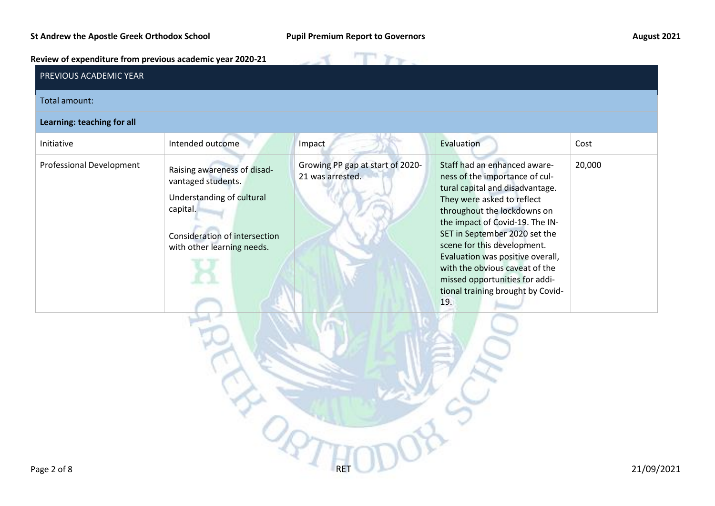$T_{\Upsilon}$ 

**Review of expenditure from previous academic year 2020-21**

| PREVIOUS ACADEMIC YEAR     |                                                                                                                                                           |                                                      |                                                                                                                                                                                                                                                                                                                                                                                                                       |        |
|----------------------------|-----------------------------------------------------------------------------------------------------------------------------------------------------------|------------------------------------------------------|-----------------------------------------------------------------------------------------------------------------------------------------------------------------------------------------------------------------------------------------------------------------------------------------------------------------------------------------------------------------------------------------------------------------------|--------|
| Total amount:              |                                                                                                                                                           |                                                      |                                                                                                                                                                                                                                                                                                                                                                                                                       |        |
| Learning: teaching for all |                                                                                                                                                           |                                                      |                                                                                                                                                                                                                                                                                                                                                                                                                       |        |
| Initiative                 | Intended outcome                                                                                                                                          | Impact                                               | Evaluation                                                                                                                                                                                                                                                                                                                                                                                                            | Cost   |
| Professional Development   | Raising awareness of disad-<br>vantaged students.<br>Understanding of cultural<br>capital.<br>Consideration of intersection<br>with other learning needs. | Growing PP gap at start of 2020-<br>21 was arrested. | Staff had an enhanced aware-<br>ness of the importance of cul-<br>tural capital and disadvantage.<br>They were asked to reflect<br>throughout the lockdowns on<br>the impact of Covid-19. The IN-<br>SET in September 2020 set the<br>scene for this development.<br>Evaluation was positive overall,<br>with the obvious caveat of the<br>missed opportunities for addi-<br>tional training brought by Covid-<br>19. | 20,000 |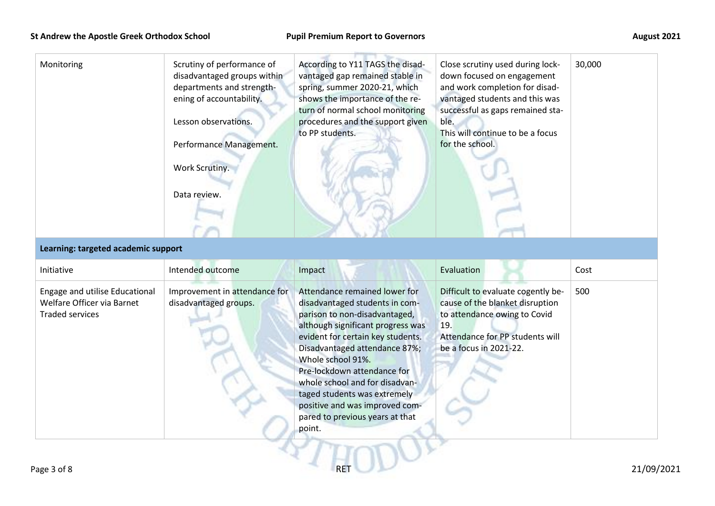| Monitoring                                                                             | Scrutiny of performance of<br>disadvantaged groups within<br>departments and strength-<br>ening of accountability.<br>Lesson observations.<br>Performance Management.<br>Work Scrutiny.<br>Data review. | According to Y11 TAGS the disad-<br>vantaged gap remained stable in<br>spring, summer 2020-21, which<br>shows the importance of the re-<br>turn of normal school monitoring<br>procedures and the support given<br>to PP students.                                                                | Close scrutiny used during lock-<br>down focused on engagement<br>and work completion for disad-<br>vantaged students and this was<br>successful as gaps remained sta-<br>ble.<br>This will continue to be a focus<br>for the school. | 30,000 |
|----------------------------------------------------------------------------------------|---------------------------------------------------------------------------------------------------------------------------------------------------------------------------------------------------------|---------------------------------------------------------------------------------------------------------------------------------------------------------------------------------------------------------------------------------------------------------------------------------------------------|---------------------------------------------------------------------------------------------------------------------------------------------------------------------------------------------------------------------------------------|--------|
| Learning: targeted academic support                                                    |                                                                                                                                                                                                         |                                                                                                                                                                                                                                                                                                   |                                                                                                                                                                                                                                       |        |
| Initiative                                                                             | Intended outcome                                                                                                                                                                                        | Impact                                                                                                                                                                                                                                                                                            | Evaluation                                                                                                                                                                                                                            | Cost   |
| Engage and utilise Educational<br>Welfare Officer via Barnet<br><b>Traded services</b> | Improvement in attendance for<br>disadvantaged groups.                                                                                                                                                  | Attendance remained lower for<br>disadvantaged students in com-<br>parison to non-disadvantaged,<br>although significant progress was<br>evident for certain key students.<br>Disadvantaged attendance 87%;<br>Whole school 91%.<br>Pre-lockdown attendance for<br>whole school and for disadvan- | Difficult to evaluate cogently be-<br>cause of the blanket disruption<br>to attendance owing to Covid<br>19.<br>Attendance for PP students will<br>be a focus in 2021-22.                                                             | 500    |

point.

taged students was extremely positive and was improved compared to previous years at that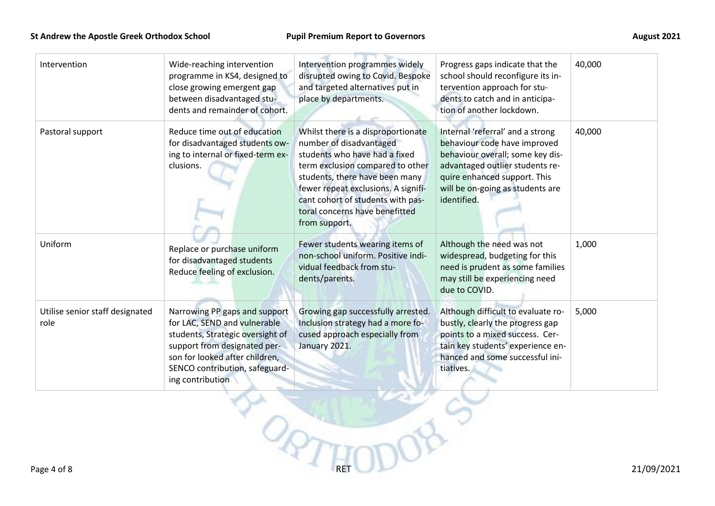| Intervention                            | Wide-reaching intervention<br>programme in KS4, designed to<br>close growing emergent gap<br>between disadvantaged stu-<br>dents and remainder of cohort.                                                                 | Intervention programmes widely<br>disrupted owing to Covid. Bespoke<br>and targeted alternatives put in<br>place by departments.                                                                                                                                                                    | Progress gaps indicate that the<br>school should reconfigure its in-<br>tervention approach for stu-<br>dents to catch and in anticipa-<br>tion of another lockdown.                                                       | 40,000     |
|-----------------------------------------|---------------------------------------------------------------------------------------------------------------------------------------------------------------------------------------------------------------------------|-----------------------------------------------------------------------------------------------------------------------------------------------------------------------------------------------------------------------------------------------------------------------------------------------------|----------------------------------------------------------------------------------------------------------------------------------------------------------------------------------------------------------------------------|------------|
| Pastoral support                        | Reduce time out of education<br>for disadvantaged students ow-<br>ing to internal or fixed-term ex-<br>clusions.                                                                                                          | Whilst there is a disproportionate<br>number of disadvantaged<br>students who have had a fixed<br>term exclusion compared to other<br>students, there have been many<br>fewer repeat exclusions. A signifi-<br>cant cohort of students with pas-<br>toral concerns have benefitted<br>from support. | Internal 'referral' and a strong<br>behaviour code have improved<br>behaviour overall; some key dis-<br>advantaged outlier students re-<br>quire enhanced support. This<br>will be on-going as students are<br>identified. | 40,000     |
| Uniform                                 | Replace or purchase uniform<br>for disadvantaged students<br>Reduce feeling of exclusion.                                                                                                                                 | Fewer students wearing items of<br>non-school uniform. Positive indi-<br>vidual feedback from stu-<br>dents/parents.                                                                                                                                                                                | Although the need was not<br>widespread, budgeting for this<br>need is prudent as some families<br>may still be experiencing need<br>due to COVID.                                                                         | 1,000      |
| Utilise senior staff designated<br>role | Narrowing PP gaps and support<br>for LAC, SEND and vulnerable<br>students, Strategic oversight of<br>support from designated per-<br>son for looked after children,<br>SENCO contribution, safeguard-<br>ing contribution | Growing gap successfully arrested.<br>Inclusion strategy had a more fo-<br>cused approach especially from<br>January 2021.                                                                                                                                                                          | Although difficult to evaluate ro-<br>bustly, clearly the progress gap<br>points to a mixed success. Cer-<br>tain key students' experience en-<br>hanced and some successful ini-<br>tiatives.                             | 5,000      |
| Page 4 of 8                             |                                                                                                                                                                                                                           |                                                                                                                                                                                                                                                                                                     |                                                                                                                                                                                                                            | 21/09/2021 |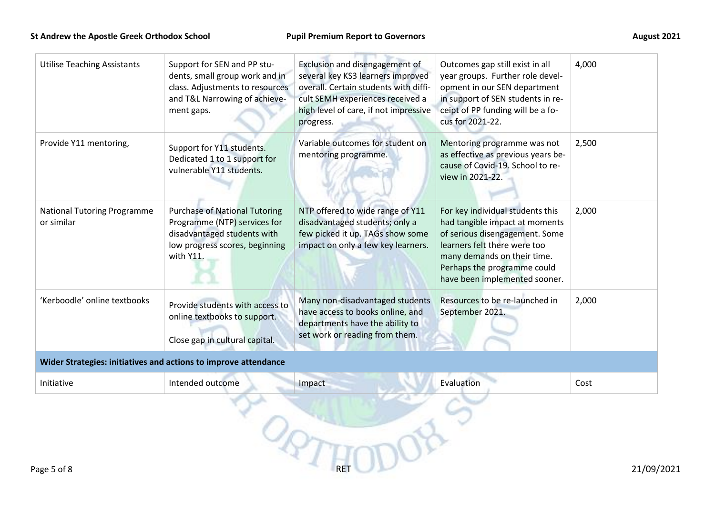| <b>Utilise Teaching Assistants</b>               | Support for SEN and PP stu-<br>dents, small group work and in<br>class. Adjustments to resources<br>and T&L Narrowing of achieve-<br>ment gaps.    | Exclusion and disengagement of<br>several key KS3 learners improved<br>overall. Certain students with diffi-<br>cult SEMH experiences received a<br>high level of care, if not impressive<br>progress. | Outcomes gap still exist in all<br>year groups. Further role devel-<br>opment in our SEN department<br>in support of SEN students in re-<br>ceipt of PP funding will be a fo-<br>cus for 2021-22.                                   | 4,000 |
|--------------------------------------------------|----------------------------------------------------------------------------------------------------------------------------------------------------|--------------------------------------------------------------------------------------------------------------------------------------------------------------------------------------------------------|-------------------------------------------------------------------------------------------------------------------------------------------------------------------------------------------------------------------------------------|-------|
| Provide Y11 mentoring,                           | Support for Y11 students.<br>Dedicated 1 to 1 support for<br>vulnerable Y11 students.                                                              | Variable outcomes for student on<br>mentoring programme.                                                                                                                                               | Mentoring programme was not<br>as effective as previous years be-<br>cause of Covid-19. School to re-<br>view in 2021-22.                                                                                                           | 2,500 |
| <b>National Tutoring Programme</b><br>or similar | <b>Purchase of National Tutoring</b><br>Programme (NTP) services for<br>disadvantaged students with<br>low progress scores, beginning<br>with Y11. | NTP offered to wide range of Y11<br>disadvantaged students; only a<br>few picked it up. TAGs show some<br>impact on only a few key learners.                                                           | For key individual students this<br>had tangible impact at moments<br>of serious disengagement. Some<br>learners felt there were too<br>many demands on their time.<br>Perhaps the programme could<br>have been implemented sooner. | 2,000 |
| 'Kerboodle' online textbooks                     | Provide students with access to<br>online textbooks to support.<br>Close gap in cultural capital.                                                  | Many non-disadvantaged students<br>have access to books online, and<br>departments have the ability to<br>set work or reading from them.                                                               | Resources to be re-launched in<br>September 2021.                                                                                                                                                                                   | 2,000 |
|                                                  | Wider Strategies: initiatives and actions to improve attendance                                                                                    |                                                                                                                                                                                                        |                                                                                                                                                                                                                                     |       |
| Initiative                                       | Intended outcome                                                                                                                                   | Impact                                                                                                                                                                                                 | Evaluation                                                                                                                                                                                                                          | Cost  |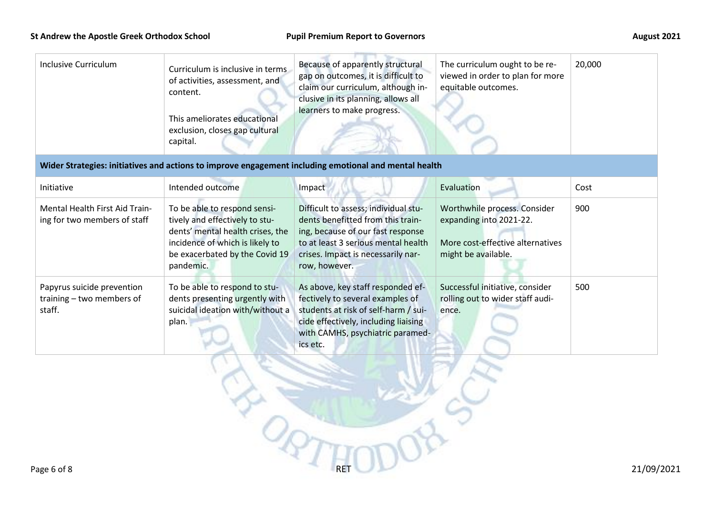| <b>Inclusive Curriculum</b>                                           | Curriculum is inclusive in terms<br>of activities, assessment, and<br>content.<br>This ameliorates educational<br>exclusion, closes gap cultural<br>capital.                         | Because of apparently structural<br>gap on outcomes, it is difficult to<br>claim our curriculum, although in-<br>clusive in its planning, allows all<br>learners to make progress.<br>Wider Strategies: initiatives and actions to improve engagement including emotional and mental health | The curriculum ought to be re-<br>viewed in order to plan for more<br>equitable outcomes.                          | 20,000 |
|-----------------------------------------------------------------------|--------------------------------------------------------------------------------------------------------------------------------------------------------------------------------------|---------------------------------------------------------------------------------------------------------------------------------------------------------------------------------------------------------------------------------------------------------------------------------------------|--------------------------------------------------------------------------------------------------------------------|--------|
|                                                                       |                                                                                                                                                                                      |                                                                                                                                                                                                                                                                                             |                                                                                                                    |        |
| Initiative                                                            | Intended outcome                                                                                                                                                                     | Impact                                                                                                                                                                                                                                                                                      | Evaluation                                                                                                         | Cost   |
| <b>Mental Health First Aid Train-</b><br>ing for two members of staff | To be able to respond sensi-<br>tively and effectively to stu-<br>dents' mental health crises, the<br>incidence of which is likely to<br>be exacerbated by the Covid 19<br>pandemic. | Difficult to assess; individual stu-<br>dents benefitted from this train-<br>ing, because of our fast response<br>to at least 3 serious mental health<br>crises. Impact is necessarily nar-<br>row, however.                                                                                | Worthwhile process. Consider<br>expanding into 2021-22.<br>More cost-effective alternatives<br>might be available. | 900    |
| Papyrus suicide prevention<br>training - two members of<br>staff.     | To be able to respond to stu-<br>dents presenting urgently with<br>suicidal ideation with/without a<br>plan.                                                                         | As above, key staff responded ef-<br>fectively to several examples of<br>students at risk of self-harm / sui-<br>cide effectively, including liaising<br>with CAMHS, psychiatric paramed-<br>ics etc.                                                                                       | Successful initiative, consider<br>rolling out to wider staff audi-<br>ence.                                       | 500    |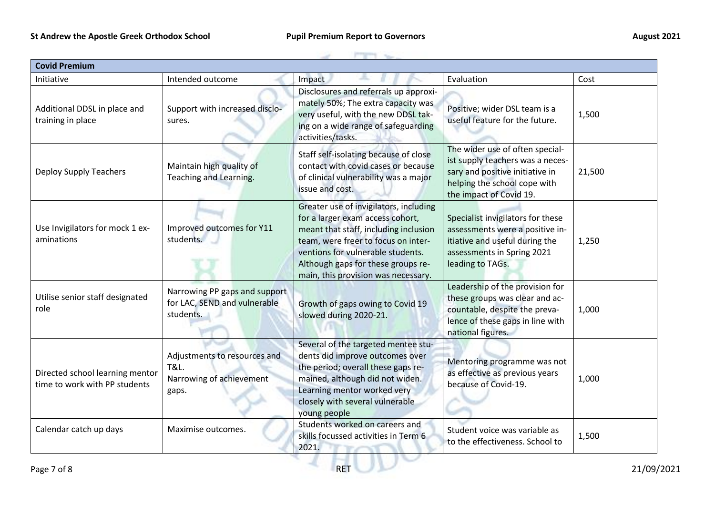| <b>Covid Premium</b>                                             |                                                                                      |                                                                                                                                                                                                                                                                              |                                                                                                                                                                   |        |  |  |
|------------------------------------------------------------------|--------------------------------------------------------------------------------------|------------------------------------------------------------------------------------------------------------------------------------------------------------------------------------------------------------------------------------------------------------------------------|-------------------------------------------------------------------------------------------------------------------------------------------------------------------|--------|--|--|
| Initiative                                                       | Intended outcome                                                                     | Impact                                                                                                                                                                                                                                                                       | Evaluation                                                                                                                                                        | Cost   |  |  |
| Additional DDSL in place and<br>training in place                | Support with increased disclo-<br>sures.                                             | Disclosures and referrals up approxi-<br>mately 50%; The extra capacity was<br>very useful, with the new DDSL tak-<br>ing on a wide range of safeguarding<br>activities/tasks.                                                                                               | Positive; wider DSL team is a<br>useful feature for the future.                                                                                                   | 1,500  |  |  |
| <b>Deploy Supply Teachers</b>                                    | Maintain high quality of<br>Teaching and Learning.                                   | Staff self-isolating because of close<br>contact with covid cases or because<br>of clinical vulnerability was a major<br>issue and cost.                                                                                                                                     | The wider use of often special-<br>ist supply teachers was a neces-<br>sary and positive initiative in<br>helping the school cope with<br>the impact of Covid 19. | 21,500 |  |  |
| Use Invigilators for mock 1 ex-<br>aminations                    | Improved outcomes for Y11<br>students.                                               | Greater use of invigilators, including<br>for a larger exam access cohort,<br>meant that staff, including inclusion<br>team, were freer to focus on inter-<br>ventions for vulnerable students.<br>Although gaps for these groups re-<br>main, this provision was necessary. | Specialist invigilators for these<br>assessments were a positive in-<br>itiative and useful during the<br>assessments in Spring 2021<br>leading to TAGs.          | 1,250  |  |  |
| Utilise senior staff designated<br>role                          | Narrowing PP gaps and support<br>for LAC, SEND and vulnerable<br>students.           | Growth of gaps owing to Covid 19<br>slowed during 2020-21.                                                                                                                                                                                                                   | Leadership of the provision for<br>these groups was clear and ac-<br>countable, despite the preva-<br>lence of these gaps in line with<br>national figures.       | 1,000  |  |  |
| Directed school learning mentor<br>time to work with PP students | Adjustments to resources and<br><b>T&amp;L.</b><br>Narrowing of achievement<br>gaps. | Several of the targeted mentee stu-<br>dents did improve outcomes over<br>the period; overall these gaps re-<br>mained, although did not widen.<br>Learning mentor worked very<br>closely with several vulnerable<br>young people                                            | Mentoring programme was not<br>as effective as previous years<br>because of Covid-19.                                                                             | 1,000  |  |  |
| Calendar catch up days                                           | Maximise outcomes.                                                                   | Students worked on careers and<br>skills focussed activities in Term 6<br>2021.                                                                                                                                                                                              | Student voice was variable as<br>to the effectiveness. School to                                                                                                  | 1,500  |  |  |

R